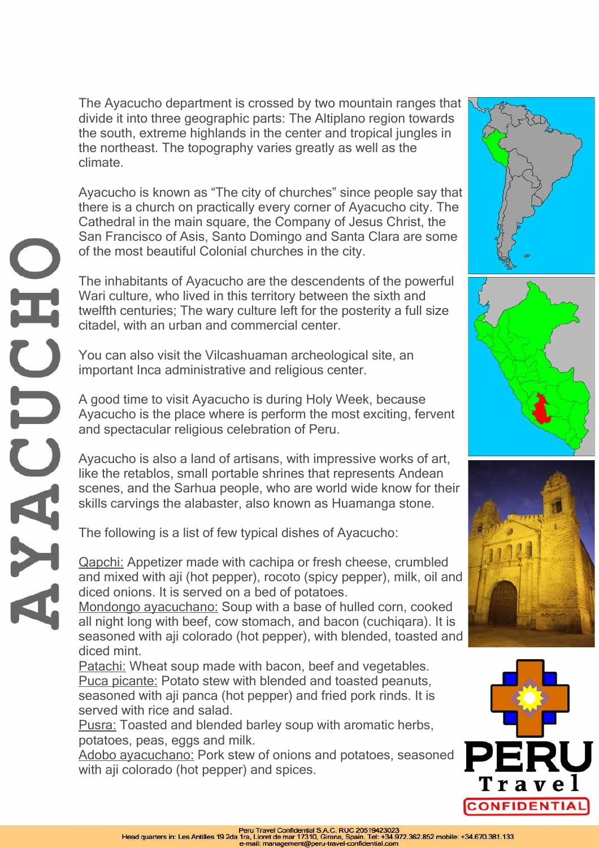The Ayacucho department is crossed by two mountain ranges that divide it into three geographic parts: The Altiplano region towards the south, extreme highlands in the center and tropical jungles in the northeast. The topography varies greatly as well as the climate.

Ayacucho is known as "The city of churches" since people say that there is a church on practically every corner of Ayacucho city. The Cathedral in the main square, the Company of Jesus Christ, the San Francisco of Asis, Santo Domingo and Santa Clara are some of the most beautiful Colonial churches in the city.

The inhabitants of Ayacucho are the descendents of the powerful Wari culture, who lived in this territory between the sixth and twelfth centuries; The wary culture left for the posterity a full size citadel, with an urban and commercial center.

You can also visit the Vilcashuaman archeological site, an important Inca administrative and religious center.

A good time to visit Ayacucho is during Holy Week, because Ayacucho is the place where is perform the most exciting, fervent and spectacular religious celebration of Peru.

Ayacucho is also a land of artisans, with impressive works of art, like the retablos, small portable shrines that represents Andean scenes, and the Sarhua people, who are world wide know for their skills carvings the alabaster, also known as Huamanga stone.

The following is a list of few typical dishes of Ayacucho:

Qapchi: Appetizer made with cachipa or fresh cheese, crumbled and mixed with aji (hot pepper), rocoto (spicy pepper), milk, oil and diced onions. It is served on a bed of potatoes.

Mondongo ayacuchano: Soup with a base of hulled corn, cooked all night long with beef, cow stomach, and bacon (cuchiqara). It is seasoned with aji colorado (hot pepper), with blended, toasted and diced mint.

Patachi: Wheat soup made with bacon, beef and vegetables. Puca picante: Potato stew with blended and toasted peanuts, seasoned with aji panca (hot pepper) and fried pork rinds. It is served with rice and salad.

Pusra: Toasted and blended barley soup with aromatic herbs, potatoes, peas, eggs and milk.

Adobo ayacuchano: Pork stew of onions and potatoes, seasoned with aji colorado (hot pepper) and spices.